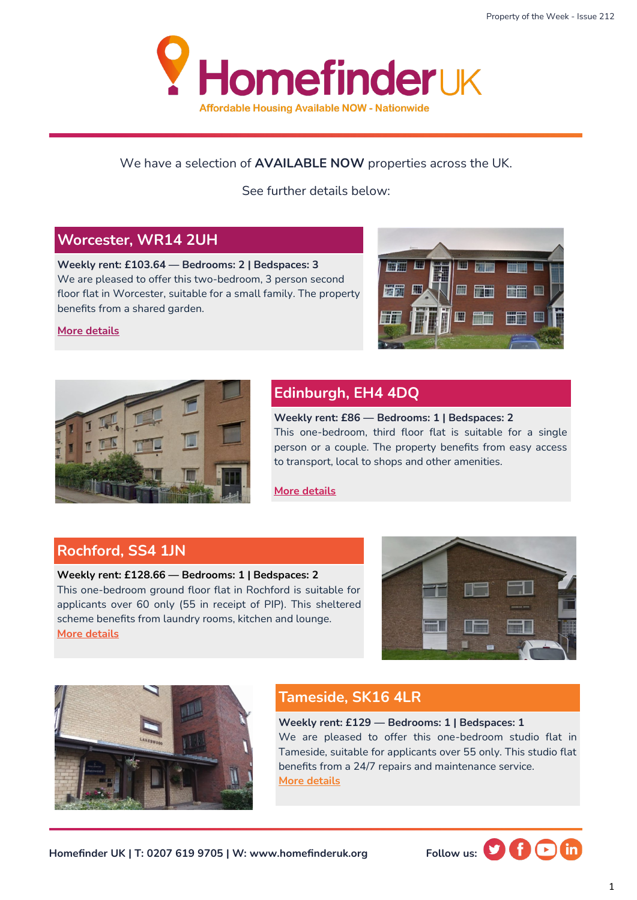

#### We have a selection of **AVAILABLE NOW** properties across the UK.

See further details below:

#### **Worcester, WR14 2UH**

**Weekly rent: £103.64 — Bedrooms: 2 | Bedspaces: 3** We are pleased to offer this two-bedroom, 3 person second floor flat in Worcester, suitable for a small family. The property benefits from a shared garden.



#### **[More details](https://homefinderuk.org/property-detail/543391996-HF2001781)**



## **Edinburgh, EH4 4DQ**

**Weekly rent: £86 — Bedrooms: 1 | Bedspaces: 2** This one-bedroom, third floor flat is suitable for a single person or a couple. The property benefits from easy access to transport, local to shops and other amenities.

**[More details](https://homefinderuk.org/property-detail/538634061-HF2001668)**

#### **Rochford, SS4 1JN**

#### **Weekly rent: £128.66 — Bedrooms: 1 | Bedspaces: 2** This one-bedroom ground floor flat in Rochford is suitable for applicants over 60 only (55 in receipt of PIP). This sheltered scheme benefits from laundry rooms, kitchen and lounge. **[More details](https://homefinderuk.org/property-detail/543611497-HF2001782)**





### **Tameside, SK16 4LR**

**Weekly rent: £129 — Bedrooms: 1 | Bedspaces: 1** We are pleased to offer this one-bedroom studio flat in Tameside, suitable for applicants over 55 only. This studio flat benefits from a 24/7 repairs and maintenance service. **[More details](https://homefinderuk.org/property-detail/520177203-HF2001063)**